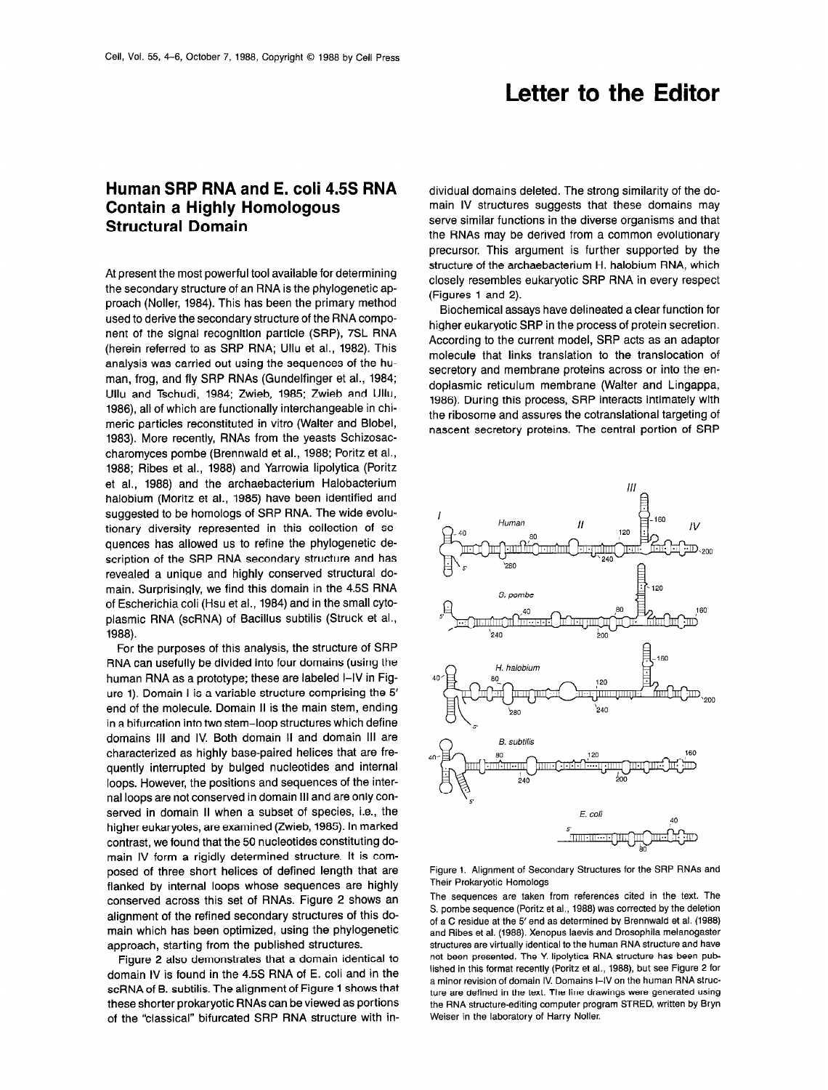## Letter to the Editor

## Human SRP RNA and E. coli 4.5s RNA Contain a Highly Homologous Structural Domain

At present the most powerful tool available for determining the secondary structure of an RNA is the phylogenetic approach (Noller, 1984). This has been the primary method used to derive the secondary structure of the RNA component of the signal recognition particle (SRP), 7SL RNA (herein referred to as SRP RNA; Ullu et al., 1982). This analysis was carried out using the sequences of the human, frog, and fly SRP RNAs (Gundelfinger et al., 1984; Ullu and Tschudi, 1984; Zwieb, 1985; Zwieb and Ullu, 1986), all of which are functionally interchangeable in chimeric particles reconstituted in vitro (Walter and Blobel, 1983). More recently, RNAs from the yeasts Schizosaccharomyces pombe (Brennwald et al., 1988; Poritz et al., 1988; Ribes et al., 1988) and Yarrowia lipolytica (Poritz et al., 1988) and the archaebacterium Halobacterium halobium (Moritz et al., 1985) have been identified and suggested to be homologs of SRP RNA. The wide evolutionary diversity represented in this collection of sequences has allowed us to refine the phylogenetic description of the SRP RNA secondary structure and has revealed a unique and highly conserved structural domain. Surprisingly, we find this domain in the 4.5s RNA of Escherichia coli (Hsu et al., 1984) and in the small cytoplasmic RNA (scRNA) of Bacillus subtilis (Struck et al., 1988).

For the purposes of this analysis, the structure of SRP RNA can usefully be divided into four domains (using the human RNA as a prototype; these are labeled I-IV in Figure 1). Domain I is a variable structure comprising the 5' end of the molecule. Domain II is the main stem, ending in a bifurcation into two stem-loop structures which define domains Ill and IV. Both domain II and domain III are characterized as highly base-paired helices that are frequently interrupted by bulged nucleotides and internal loops. However, the positions and sequences of the internal loops are not conserved in domain III and are only conserved in domain II when a subset of species, i.e., the higher eukaryotes, are examined (Zwieb, 1985). In marked contrast, we found that the 50 nucleotides constituting domain IV form a rigidly determined structure. It is composed of three short helices of defined length that are flanked by internal loops whose sequences are highly conserved across this set of RNAs. Figure 2 shows an alignment of the refined secondary structures of this domain which has been optimized, using the phylogenetic approach, starting from the published structures.

Figure 2 also demonstrates that a domain identical to domain IV is found in the 4.5s RNA of E. coli and in the scRNA of B. subtilis. The alignment of Figure 1 shows that these shorter prokaryotic RNAs can be viewed as portions of the 'classical" bifurcated SRP RNA structure with in-

dividual domains deleted. The strong similarity of the domain IV structures suggests that these domains may serve similar functions in the diverse organisms and that the RNAs may be derived from a common evolutionary precursor. This argument is further supported by the structure of the archaebacterium H. halobium RNA, which closely resembles eukaryotic SRP RNA in every respect (Figures 1 and 2).

Biochemical assays have delineated a clear function for higher eukaryotic SRP in the process of protein secretion. According to the current model, SRP acts as an adaptor molecule that links translation to the translocation of secretory and membrane proteins across or into the endoplasmic reticulum membrane (Walter and Lingappa, 1986). During this process, SRP interacts intimately with the ribosome and assures the cotranslational targeting of nascent secretory proteins. The central portion of SRP



Figure 1. Alignment of Secondary Structures for the SRP RNAs and Their Prokaryotic Homologs

The sequences are taken from references cited in the text. The S. pombe sequence (Poritz et al., 1988) was corrected by the deletion of a C residue at the 5' end as determined by Brennwald et al. (1988) and Ribes et al. (1988). Xenopus laevis and Drosophila melanogaster structures are virtually identical to the human RNA structure and have not been presented. The Y. lipolytica RNA structure has been published in this format recently (Poritz et al., 1988), but see Figure 2 for a minor revision of domain IV. Domains I-IV on the human RNA structure are defined in the text. The line drawings were generated using the RNA structure-editing computer program STRED, written by Bryn Weiser in the laboratory of Harry Noller.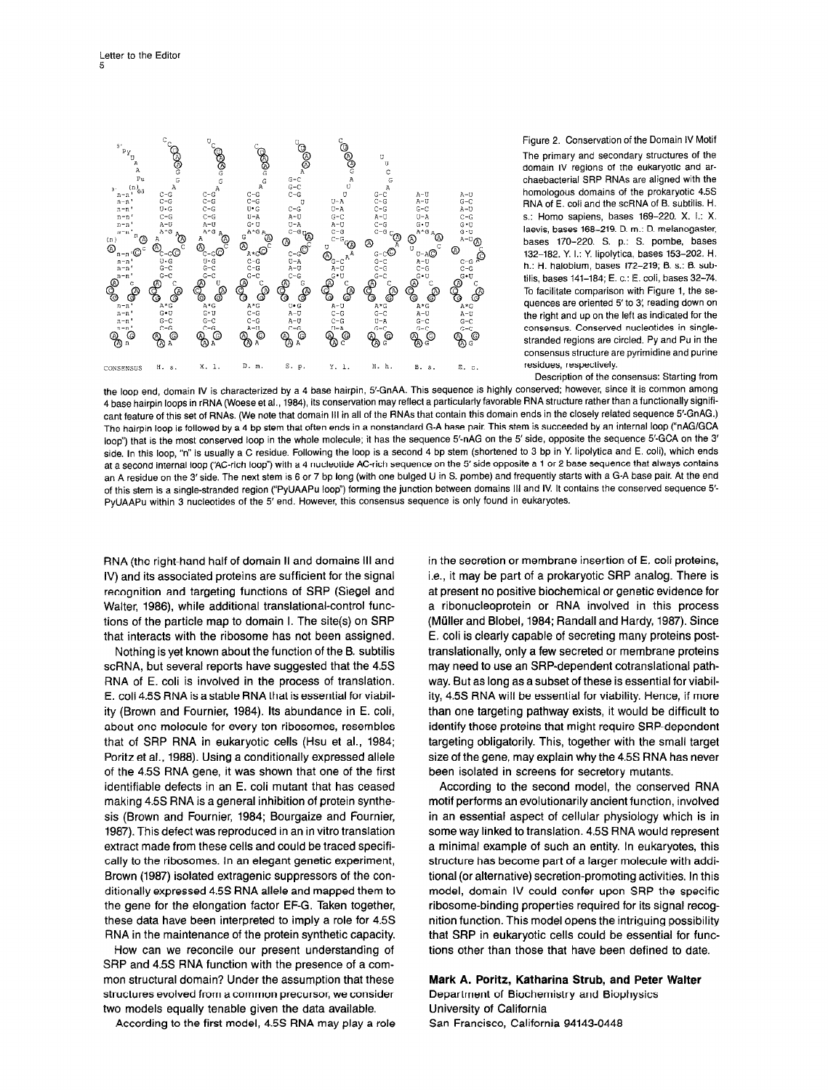

Figure 2. Conservation of the Dornain IV Motif The primary and secondary structures of the domain IV regions of the eukaryotic and archaebacterial SRP RNAs are aligned with the homologous domains of the prokaryotic 4.5s RNA of E. coli and the scFtNA of B. subtilis. H. s.: Homo sapiens, bases 169-220. X. I.: X. laevis, bases 168-219. D. m.: D. melanogaster, bases 170-220. S. p.: S. pombe, bases 132-182. Y. I.: Y. lipolytica, bases 153-202. H. h.: H. halobium, bases 172-219; 8. s.: 6. subtilis, bases 141-184; E. c.: E. coli, bases 32-74. To facilitate comparison with Figure 1, the sequences are oriented 5' to 3' reading down on the right and up on the left as indicated for the consensus. Conserved nucleotides in singlestranded regions are circled. Py and Pu in the consensus structure are pyrimidine and purine residues, respectively.

Description of the consensus: Starting from

the loop end, domain IV is characterized by a 4 base hairpin, 5'-GnAA. This sequence is highly conserved; however, since it is common among 4 base hairpin loops in rRNA (Woese et al., 1984) its conservation may reflect a particularly favorable RNA structure rather than a functionally significant feature of this set of RNAs. (We note that domain III in all of the RNAs that contain this domain ends in the closely related sequence 5'-GnAG.) The hairpin loop is followed by a 4 bp stem that often ends in a nonstandard G-A base pair. This stem is succeeded by an internal loop ("nAG/GCA loop") that is the most conserved loop in the whole molecule; it has the sequence 5'-nAG on the 5' side, opposite the sequence 5'-GCA on the 3' side. In this loop, "n" is usually a C residue. Following the loop is a second 4 bp stem (shortened to 3 bp in Y. lipolytica and E. coli), which ends at a second internal loop ('AC-rich loop") with a 4 nucleotide AC-rich sequence on the 5'side opposite a 1 or 2 base sequence that always contains an A residue on the 3' side. The next stem is 6 or 7 bp long (with one bulged U in S. pombe) and frequently starts with a G-A base pair. At the end of this stem is a single-stranded region ("PyUAAPu loop") forming the junction between domains III and IV. It contains the conserved sequence 5'-PyUAAPu within 3 nucleotides of the 5' end. However, this consensus sequence is only found in eukaryotes.

RNA (the right-hand half of domain II and domains III and IV) and its associated proteins are sufficient for the signal recognition and targeting functions of SRP (Siegel and Walter, 1986), while additional translational-control functions of the particle map to domain I. The site(s) on SRP that interacts with the ribosome has not been assigned.

Nothing is yet known about the function of the 6. subtilis scRNA, but several reports have suggested that the 4.55 RNA of E. coli is involved in the process of translation. E. coli 4.5s RNA is a stable RNA that is essential for viability (Brown and Fournier, 1984). Its abundance in E. coli, about one molecule for every ten ribosomes, resembles that of SRP RNA in eukaryotic cells (Hsu et al., 1984; Poritz et al., 1988). Using a conditionally expressed allele of the 4.5s RNA gene, it was shown that one of the first identifiable defects in an E. coli mutant that has ceased making 4.5s RNA is a general inhibition of protein synthesis (Brown and Fournier, 1984; Bourgaize and Fournier, 1987). This defect was reproduced in an in vitro translation extract made from these cells and could be traced specifically to the ribosomes. In an elegant genetic experiment, Brown (1987) isolated extragenic suppressors of the conditionally expressed 4.5s RNA allele and mapped them to the gene for the elongation factor EF-G. Taken together, these data have been interpreted to imply a role for 4.5s RNA in the maintenance of the protein synthetic capacity.

How can we reconcile our present understanding of SRP and 4.5s RNA function with the presence of a common structural domain? Under the assumption that these structures evolved from a common precursor, we consider two models equally tenable given the data available.

According to the first model, 4.5s RNA may play a role

in the secretion or membrane insertion of E. coli proteins, i.e., it may be part of a prokaryotic SRP analog. There is at present no positive biochemical or genetic evidence for a ribonucleoprotein or RNA involved in this process (Mijller and Blobel, 1984; Randall and Hardy, 1987). Since E. coli is clearly capable of secreting many proteins posttranslationally, only a few secreted or membrane proteins may need to use an SRP-dependent cotranslational pathway. But as long as a subset of these is essential for viability, 4.5s RNA will be essential for viability. Hence, if more than one targeting pathway exists, it would be difficult to identify those proteins that might require SRP-dependent targeting obligatorily. This, together with the small target size of the gene, may explain why the 45S RNA has never been isolated in screens for secretory mutants.

According to the second model, the conserved RNA motif performs an evolutionarily ancient function, involved in an essential aspect of cellular physiology which is in some way linked to translation. 4.5s RNA would represent a minimal example of such an entity. In eukaryotes, this structure has become part of a larger molecule with additional (or alternative) secretion-promoting activities. In this model, domain IV could confer upon SRP the specific ribosome-binding properties required for its signal recognition function. This model opens the intriguing possibility that SRP in eukaryotic cells could be essential for functions other than those that have been defined to date.

Mark A. Poritz, Katharina Strub, and Peter Walter Department of Biochemistry and Biophysics University of California San Francisco, California 94143-0448